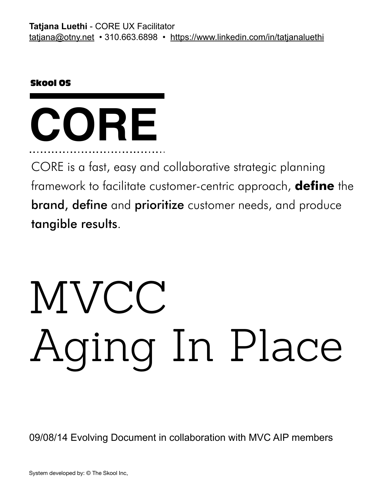#### Skool OS



CORE is a fast, easy and collaborative strategic planning framework to facilitate customer-centric approach, **define** the brand, define and prioritize customer needs, and produce tangible results.

# MVCC Aging In Place

09/08/14 Evolving Document in collaboration with MVC AIP members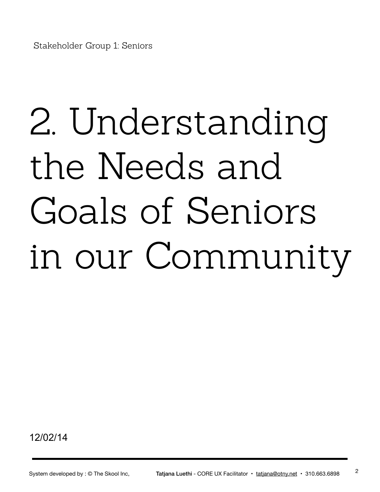## 2. Understanding the Needs and Goals of Seniors in our Community

12/02/14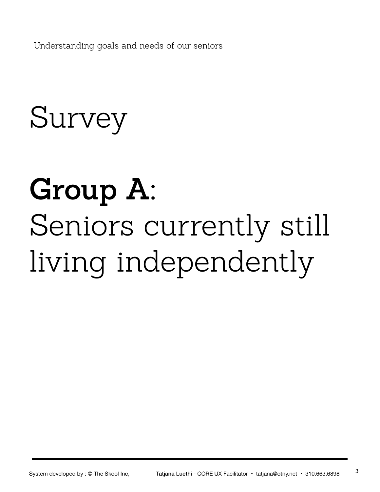Understanding goals and needs of our seniors

### Survey

### **Group A:**  Seniors currently still living independently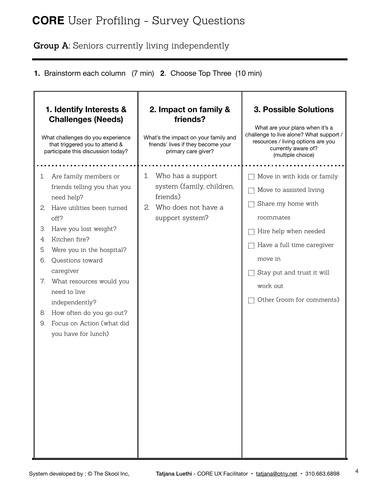### **CORE** User Profiling - Survey Questions

**Group A:** Seniors currently living independently

**1.** Brainstorm each column (7 min) **2**. Choose Top Three (10 min)